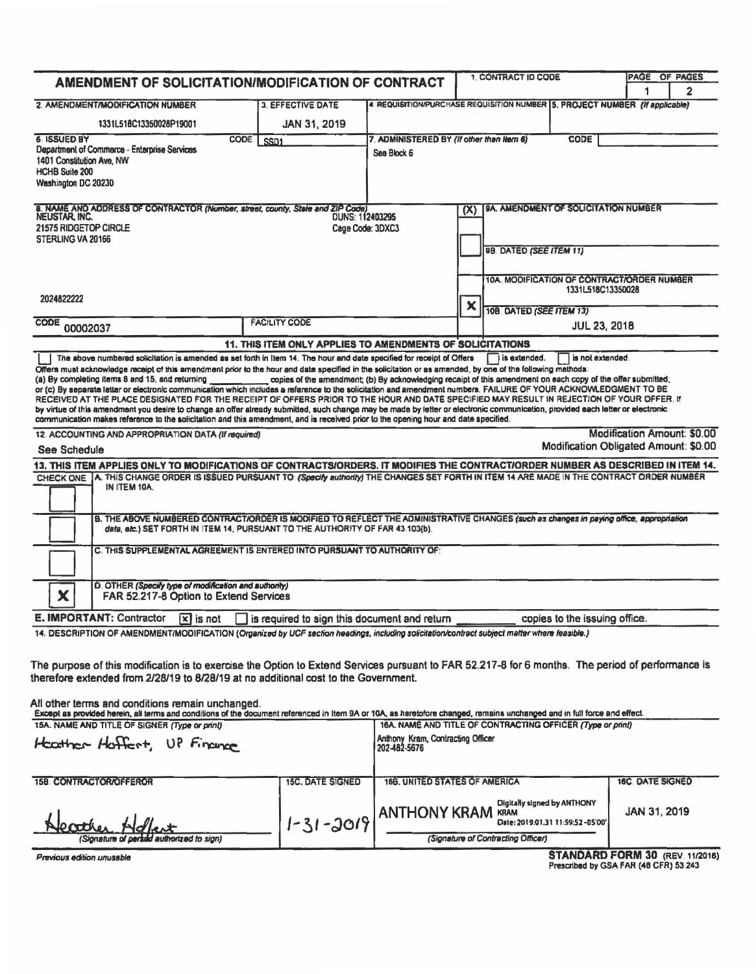|                                                                                                                                                                                                                                                                                                                             |                                                                                                              |                                                                             | 1. CONTRACT ID CODE                               |                                                            |                     | PAGE OF PAGES          |                                       |
|-----------------------------------------------------------------------------------------------------------------------------------------------------------------------------------------------------------------------------------------------------------------------------------------------------------------------------|--------------------------------------------------------------------------------------------------------------|-----------------------------------------------------------------------------|---------------------------------------------------|------------------------------------------------------------|---------------------|------------------------|---------------------------------------|
| AMENDMENT OF SOLICITATION/MODIFICATION OF CONTRACT                                                                                                                                                                                                                                                                          |                                                                                                              |                                                                             |                                                   |                                                            |                     |                        | 2                                     |
| 2. AMENDMENT/MODIFICATION NUMBER                                                                                                                                                                                                                                                                                            | <b>3. EFFECTIVE DATE</b>                                                                                     | 4 REQUISITION/PURCHASE REQUISITION NUMBER 5, PROJECT NUMBER (If applicable) |                                                   |                                                            |                     |                        |                                       |
| 1331L518C13350028P19001                                                                                                                                                                                                                                                                                                     | JAN 31, 2019                                                                                                 |                                                                             |                                                   |                                                            |                     |                        |                                       |
| <b>CODE</b><br><b>6 ISSUED BY</b>                                                                                                                                                                                                                                                                                           | SSD <sub>1</sub>                                                                                             | 7. ADMINISTERED BY (If other than Hern 6)                                   |                                                   |                                                            | <b>CODE</b>         |                        |                                       |
| Department of Commerce - Enterprise Services<br>1401 Constitution Ave, NW                                                                                                                                                                                                                                                   |                                                                                                              | See Block 6                                                                 |                                                   |                                                            |                     |                        |                                       |
| <b>HCHB Suite 200</b>                                                                                                                                                                                                                                                                                                       |                                                                                                              |                                                                             |                                                   |                                                            |                     |                        |                                       |
| Washington DC 20230                                                                                                                                                                                                                                                                                                         |                                                                                                              |                                                                             |                                                   |                                                            |                     |                        |                                       |
| 8. NAME AND ADDRESS OF CONTRACTOR (Number, street, county, State and ZIP Code)                                                                                                                                                                                                                                              |                                                                                                              |                                                                             | (X)                                               | <b>9A. AMENDMENT OF SOLICITATION NUMBER</b>                |                     |                        |                                       |
| NEUSTAR, INC.                                                                                                                                                                                                                                                                                                               | <b>DUNS: 112403295</b>                                                                                       |                                                                             |                                                   |                                                            |                     |                        |                                       |
| 21575 RIDGETOP CIRCLE<br>Cage Code: 3DXC3<br>STERLING VA 20166                                                                                                                                                                                                                                                              |                                                                                                              |                                                                             |                                                   |                                                            |                     |                        |                                       |
|                                                                                                                                                                                                                                                                                                                             |                                                                                                              |                                                                             |                                                   | 98. DATED (SEE ITEM 11)                                    |                     |                        |                                       |
|                                                                                                                                                                                                                                                                                                                             |                                                                                                              |                                                                             |                                                   | 10A. MODIFICATION OF CONTRACT/ORDER NUMBER                 |                     |                        |                                       |
| 2024822222                                                                                                                                                                                                                                                                                                                  |                                                                                                              |                                                                             |                                                   |                                                            | 1331L518C13350028   |                        |                                       |
|                                                                                                                                                                                                                                                                                                                             |                                                                                                              |                                                                             | ×                                                 | 10B. DATED (SEE ITEM 13)                                   |                     |                        |                                       |
| CODE<br>00002037                                                                                                                                                                                                                                                                                                            | <b>FACILITY CODE</b>                                                                                         |                                                                             |                                                   |                                                            | <b>JUL 23, 2018</b> |                        |                                       |
|                                                                                                                                                                                                                                                                                                                             | 11. THIS ITEM ONLY APPLIES TO AMENDMENTS OF SOLICITATIONS                                                    |                                                                             |                                                   |                                                            |                     |                        |                                       |
| The above numbered solicitation is amended as set forth in Item 14. The hour and date specified for receipt of Offers                                                                                                                                                                                                       |                                                                                                              |                                                                             |                                                   | is extended.                                               | is not extended.    |                        |                                       |
| Offers must acknowledge receipt of this amendment prior to the hour and date specified in the solicitation or as amended, by one of the following methods:<br>(a) By completing items 8 and 15, and returning                                                                                                               | copies of the amendment; (b) By acknowledging receipt of this amendment on each copy of the offer submitted; |                                                                             |                                                   |                                                            |                     |                        |                                       |
| or (c) By separate letter or electronic communication which includes a reference to the solicitation and amendment numbers. FAILURE OF YOUR ACKNOWLEDGMENT TO BE                                                                                                                                                            |                                                                                                              |                                                                             |                                                   |                                                            |                     |                        |                                       |
| RECEIVED AT THE PLACE DESIGNATED FOR THE RECEIPT OF OFFERS PRIOR TO THE HOUR AND DATE SPECIFIED MAY RESULT IN REJECTION OF YOUR OFFER. If<br>by virtue of this amendment you desire to change an offer already submitted, such change may be made by letter or electronic communication, provided each letter or electronic |                                                                                                              |                                                                             |                                                   |                                                            |                     |                        |                                       |
| communication makes reference to the solicitation and this amendment, and is received prior to the opening hour and date specified.                                                                                                                                                                                         |                                                                                                              |                                                                             |                                                   |                                                            |                     |                        |                                       |
| 12. ACCOUNTING AND APPROPRIATION DATA (If required)                                                                                                                                                                                                                                                                         |                                                                                                              |                                                                             |                                                   |                                                            |                     |                        | Modification Amount: \$0.00           |
| See Schedule                                                                                                                                                                                                                                                                                                                |                                                                                                              |                                                                             |                                                   |                                                            |                     |                        | Modification Obligated Amount: \$0.00 |
| 13. THIS ITEM APPLIES ONLY TO MODIFICATIONS OF CONTRACTS/ORDERS, IT MODIFIES THE CONTRACT/ORDER NUMBER AS DESCRIBED IN ITEM 14.                                                                                                                                                                                             |                                                                                                              |                                                                             |                                                   |                                                            |                     |                        |                                       |
| CHECK ONE A. THIS CHANGE ORDER IS ISSUED PURSUANT TO (Specify authority) THE CHANGES SET FORTH IN ITEM 14 ARE MADE IN THE CONTRACT ORDER NUMBER<br>IN ITEM 10A.                                                                                                                                                             |                                                                                                              |                                                                             |                                                   |                                                            |                     |                        |                                       |
|                                                                                                                                                                                                                                                                                                                             |                                                                                                              |                                                                             |                                                   |                                                            |                     |                        |                                       |
| B. THE ABOVE NUMBERED CONTRACTIORDER IS MODIFIED TO REFLECT THE ADMINISTRATIVE CHANGES (such as changes in paying office, appropriation                                                                                                                                                                                     |                                                                                                              |                                                                             |                                                   |                                                            |                     |                        |                                       |
| data, sic.) SET FORTH IN ITEM 14, PURSUANT TO THE AUTHORITY OF FAR 43.103(b).                                                                                                                                                                                                                                               |                                                                                                              |                                                                             |                                                   |                                                            |                     |                        |                                       |
| C. THIS SUPPLEMENTAL AGREEMENT IS ENTERED INTO PURSUANT TO AUTHORITY OF:                                                                                                                                                                                                                                                    |                                                                                                              |                                                                             |                                                   |                                                            |                     |                        |                                       |
|                                                                                                                                                                                                                                                                                                                             |                                                                                                              |                                                                             |                                                   |                                                            |                     |                        |                                       |
| D. OTHER (Specify type of modification and authority)<br>X<br>FAR 52.217-8 Option to Extend Services                                                                                                                                                                                                                        |                                                                                                              |                                                                             |                                                   |                                                            |                     |                        |                                       |
| E. IMPORTANT: Contractor<br>$ x $ is not                                                                                                                                                                                                                                                                                    | is required to sign this document and return                                                                 |                                                                             |                                                   | copies to the issuing office.                              |                     |                        |                                       |
| 14. DESCRIPTION OF AMENDMENT/MODIFICATION (Organized by UCF section headings, including solicitation/contract subject matter where feasible.)                                                                                                                                                                               |                                                                                                              |                                                                             |                                                   |                                                            |                     |                        |                                       |
|                                                                                                                                                                                                                                                                                                                             |                                                                                                              |                                                                             |                                                   |                                                            |                     |                        |                                       |
| The purpose of this modification is to exercise the Option to Extend Services pursuant to FAR 52.217-8 for 6 months. The period of performance is                                                                                                                                                                           |                                                                                                              |                                                                             |                                                   |                                                            |                     |                        |                                       |
| therefore extended from 2/28/19 to 8/28/19 at no additional cost to the Government.                                                                                                                                                                                                                                         |                                                                                                              |                                                                             |                                                   |                                                            |                     |                        |                                       |
|                                                                                                                                                                                                                                                                                                                             |                                                                                                              |                                                                             |                                                   |                                                            |                     |                        |                                       |
| All other terms and conditions remain unchanged.<br>Except as provided herein, all terms and conditions of the document referenced in Item 9A or 10A, as heretofore changed, remains unchanged and in full force and effect.                                                                                                |                                                                                                              |                                                                             |                                                   |                                                            |                     |                        |                                       |
| 15A. NAME AND TITLE OF SIGNER (Type or print)                                                                                                                                                                                                                                                                               |                                                                                                              |                                                                             |                                                   | 16A, NAME AND TITLE OF CONTRACTING OFFICER (Type or print) |                     |                        |                                       |
| Heather Hoffert, UP Finance                                                                                                                                                                                                                                                                                                 |                                                                                                              |                                                                             | Anthony Kram, Contracting Officer<br>202-482-5676 |                                                            |                     |                        |                                       |
|                                                                                                                                                                                                                                                                                                                             |                                                                                                              |                                                                             |                                                   |                                                            |                     |                        |                                       |
| <b>15B CONTRACTOR/OFFEROR</b>                                                                                                                                                                                                                                                                                               | <b>15C. DATE SIGNED</b>                                                                                      | 168. UNITED STATES OF AMERICA                                               |                                                   |                                                            |                     | <b>16C DATE SIGNED</b> |                                       |

| Heather Adlant<br>(Signature of persod authorized to sign) | $1 - 31 - 2019$ | Digitally signed by ANTHONY<br><b>ANTHONY KRAM KRAM</b><br>Date: 2019.01.31 11:59:52-05'00'<br>(Signature of Contracting Officer) | JAN 31, 2019 |
|------------------------------------------------------------|-----------------|-----------------------------------------------------------------------------------------------------------------------------------|--------------|
|------------------------------------------------------------|-----------------|-----------------------------------------------------------------------------------------------------------------------------------|--------------|

Previous edition unusable

STANDARD FORM 30 (REV 11/2016)<br>Prescribed by GSA FAR (48 CFR) 53 243